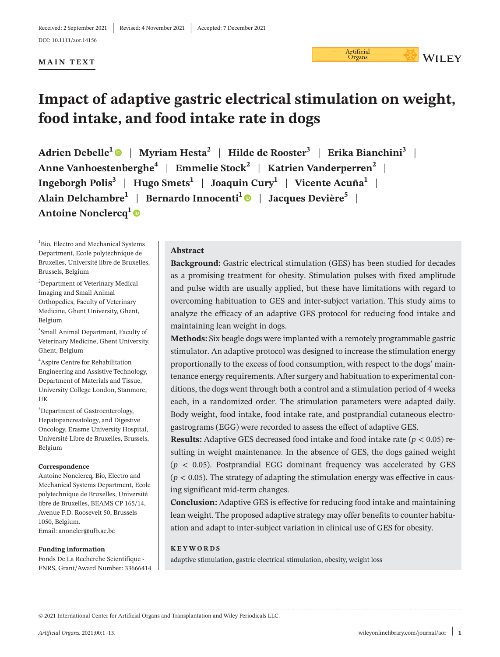Revised: 4 November 2021 |

#### DOI: 10.1111/aor.14156

#### **MAIN TEXT**

# **Impact of adaptive gastric electrical stimulation on weight, food intake, and food intake rate in dogs**

**Adrien Debelle<sup>1</sup>** | **Myriam Hesta<sup>2</sup>** | **Hilde de Rooster<sup>3</sup>** | **Erika Bianchini<sup>3</sup>** | **Anne Vanhoestenberghe<sup>4</sup>** | **Emmelie Stock<sup>2</sup>** | **Katrien Vanderperren<sup>2</sup>** | **Ingeborgh Polis<sup>3</sup>** | **Hugo Smets<sup>1</sup>** | **Joaquin Cury<sup>1</sup>** | **Vicente Acuña<sup>1</sup>** | **Alain Delchambre<sup>1</sup>** | **Bernardo Innocenti<sup>1</sup>** | **Jacques Devière<sup>5</sup>** | **Antoine Nonclercq<sup>1</sup>**

<sup>1</sup>Bio, Electro and Mechanical Systems Department, Ecole polytechnique de Bruxelles, Université libre de Bruxelles, Brussels, Belgium

<sup>2</sup>Department of Veterinary Medical Imaging and Small Animal Orthopedics, Faculty of Veterinary Medicine, Ghent University, Ghent, Belgium

<sup>3</sup>Small Animal Department, Faculty of Veterinary Medicine, Ghent University, Ghent, Belgium

<sup>4</sup>Aspire Centre for Rehabilitation Engineering and Assistive Technology, Department of Materials and Tissue, University College London, Stanmore, UK

<sup>5</sup>Department of Gastroenterology, Hepatopancreatology, and Digestive Oncology, Erasme University Hospital, Université Libre de Bruxelles, Brussels, Belgium

#### **Correspondence**

Antoine Nonclercq, Bio, Electro and Mechanical Systems Department, Ecole polytechnique de Bruxelles, Université libre de Bruxelles, BEAMS CP 165/14, Avenue F.D. Roosevelt 50, Brussels 1050, Belgium. Email: [anoncler@ulb.ac.be](mailto:anoncler@ulb.ac.be)

#### **Funding information**

Fonds De La Recherche Scientifique - FNRS, Grant/Award Number: 33666414

#### **Abstract**

**Background:** Gastric electrical stimulation (GES) has been studied for decades as a promising treatment for obesity. Stimulation pulses with fixed amplitude and pulse width are usually applied, but these have limitations with regard to overcoming habituation to GES and inter- subject variation. This study aims to analyze the efficacy of an adaptive GES protocol for reducing food intake and maintaining lean weight in dogs.

Artificial<br>Organs

**WILEY** 

**Methods:** Six beagle dogs were implanted with a remotely programmable gastric stimulator. An adaptive protocol was designed to increase the stimulation energy proportionally to the excess of food consumption, with respect to the dogs' maintenance energy requirements. After surgery and habituation to experimental conditions, the dogs went through both a control and a stimulation period of 4 weeks each, in a randomized order. The stimulation parameters were adapted daily. Body weight, food intake, food intake rate, and postprandial cutaneous electrogastrograms (EGG) were recorded to assess the effect of adaptive GES.

**Results:** Adaptive GES decreased food intake and food intake rate (*p* < 0.05) resulting in weight maintenance. In the absence of GES, the dogs gained weight  $(p < 0.05)$ . Postprandial EGG dominant frequency was accelerated by GES  $(p < 0.05)$ . The strategy of adapting the stimulation energy was effective in causing significant mid- term changes.

**Conclusion:** Adaptive GES is effective for reducing food intake and maintaining lean weight. The proposed adaptive strategy may offer benefits to counter habituation and adapt to inter-subject variation in clinical use of GES for obesity.

#### **KEYWORDS**

adaptive stimulation, gastric electrical stimulation, obesity, weight loss

© 2021 International Center for Artificial Organs and Transplantation and Wiley Periodicals LLC.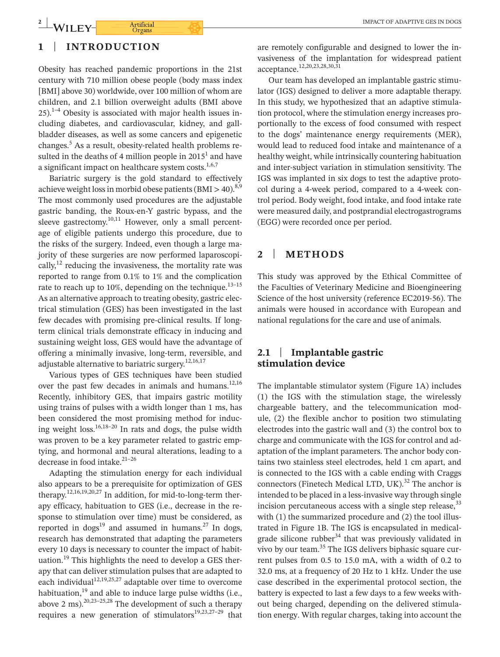### **1** | **INTRODUCTION**

Obesity has reached pandemic proportions in the 21st century with 710 million obese people (body mass index [BMI] above 30) worldwide, over 100 million of whom are children, and 2.1 billion overweight adults (BMI above  $25)$ .<sup>1–4</sup> Obesity is associated with major health issues including diabetes, and cardiovascular, kidney, and gallbladder diseases, as well as some cancers and epigenetic changes.<sup>5</sup> As a result, obesity-related health problems resulted in the deaths of 4 million people in  $2015^1$  and have a significant impact on healthcare system costs. $1,6,7$ 

Bariatric surgery is the gold standard to effectively achieve weight loss in morbid obese patients (BMI > 40).<sup>8,9</sup> The most commonly used procedures are the adjustable gastric banding, the Roux-en-Y gastric bypass, and the sleeve gastrectomy. $10,11$  However, only a small percentage of eligible patients undergo this procedure, due to the risks of the surgery. Indeed, even though a large majority of these surgeries are now performed laparoscopically, $^{12}$  reducing the invasiveness, the mortality rate was reported to range from 0.1% to 1% and the complication rate to reach up to 10%, depending on the technique.<sup>13-15</sup> As an alternative approach to treating obesity, gastric electrical stimulation (GES) has been investigated in the last few decades with promising pre-clinical results. If longterm clinical trials demonstrate efficacy in inducing and sustaining weight loss, GES would have the advantage of offering a minimally invasive, long- term, reversible, and adjustable alternative to bariatric surgery.<sup>12,16,17</sup>

Various types of GES techniques have been studied over the past few decades in animals and humans.<sup>12,16</sup> Recently, inhibitory GES, that impairs gastric motility using trains of pulses with a width longer than 1 ms, has been considered the most promising method for inducing weight loss. $16,18-20$  In rats and dogs, the pulse width was proven to be a key parameter related to gastric emptying, and hormonal and neural alterations, leading to a decrease in food intake.<sup>21-26</sup>

Adapting the stimulation energy for each individual also appears to be a prerequisite for optimization of GES therapy.<sup>12,16,19,20,27</sup> In addition, for mid-to-long-term therapy efficacy, habituation to GES (i.e., decrease in the response to stimulation over time) must be considered, as reported in dogs<sup>19</sup> and assumed in humans.<sup>27</sup> In dogs, research has demonstrated that adapting the parameters every 10 days is necessary to counter the impact of habituation.<sup>19</sup> This highlights the need to develop a GES therapy that can deliver stimulation pulses that are adapted to each individual<sup>12,19,25,27</sup> adaptable over time to overcome habituation, $^{19}$  and able to induce large pulse widths (i.e., above 2 ms).<sup>20,23–25,28</sup> The development of such a therapy requires a new generation of stimulators<sup>19,23,27-29</sup> that

are remotely configurable and designed to lower the invasiveness of the implantation for widespread patient acceptance.<sup>12,20,23,28,30,31</sup>

Our team has developed an implantable gastric stimulator (IGS) designed to deliver a more adaptable therapy. In this study, we hypothesized that an adaptive stimulation protocol, where the stimulation energy increases proportionally to the excess of food consumed with respect to the dogs' maintenance energy requirements (MER), would lead to reduced food intake and maintenance of a healthy weight, while intrinsically countering habituation and inter-subject variation in stimulation sensitivity. The IGS was implanted in six dogs to test the adaptive protocol during a 4-week period, compared to a 4-week control period. Body weight, food intake, and food intake rate were measured daily, and postprandial electrogastrograms (EGG) were recorded once per period.

### **2** | **METHODS**

This study was approved by the Ethical Committee of the Faculties of Veterinary Medicine and Bioengineering Science of the host university (reference EC2019-56). The animals were housed in accordance with European and national regulations for the care and use of animals.

### **2.1** | **Implantable gastric stimulation device**

The implantable stimulator system (Figure 1A) includes (1) the IGS with the stimulation stage, the wirelessly chargeable battery, and the telecommunication module, (2) the flexible anchor to position two stimulating electrodes into the gastric wall and (3) the control box to charge and communicate with the IGS for control and adaptation of the implant parameters. The anchor body contains two stainless steel electrodes, held 1 cm apart, and is connected to the IGS with a cable ending with Craggs connectors (Finetech Medical LTD, UK). $32$  The anchor is intended to be placed in a less- invasive way through single incision percutaneous access with a single step release,  $33$ with (1) the summarized procedure and (2) the tool illustrated in Figure 1B. The IGS is encapsulated in medicalgrade silicone rubber<sup>34</sup> that was previously validated in vivo by our team.<sup>35</sup> The IGS delivers biphasic square current pulses from 0.5 to 15.0 mA, with a width of 0.2 to 32.0 ms, at a frequency of 20 Hz to 1 kHz. Under the use case described in the experimental protocol section, the battery is expected to last a few days to a few weeks without being charged, depending on the delivered stimulation energy. With regular charges, taking into account the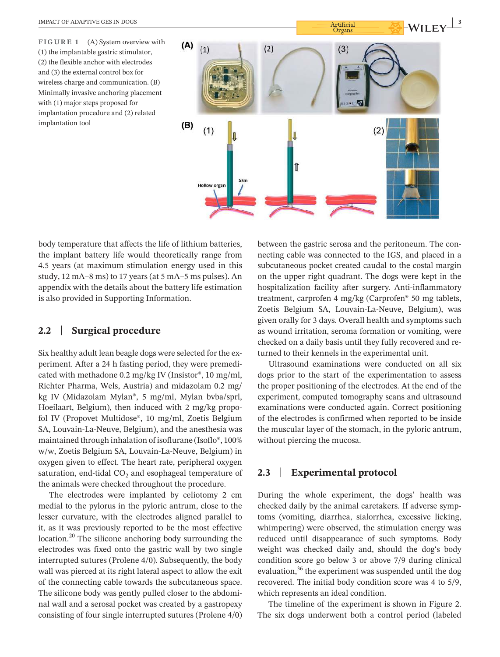**FIGURE 1** (A) System overview with (1) the implantable gastric stimulator, (2) the flexible anchor with electrodes and (3) the external control box for wireless charge and communication. (B) Minimally invasive anchoring placement with (1) major steps proposed for implantation procedure and (2) related implantation tool



body temperature that affects the life of lithium batteries, the implant battery life would theoretically range from 4.5 years (at maximum stimulation energy used in this study,  $12 \text{ mA} - 8 \text{ ms}$ ) to  $17 \text{ years}$  (at  $5 \text{ mA} - 5 \text{ ms}$  pulses). An appendix with the details about the battery life estimation is also provided in Supporting Information.

### **2.2** | **Surgical procedure**

Six healthy adult lean beagle dogs were selected for the experiment. After a 24 h fasting period, they were premedicated with methadone 0.2 mg/kg IV (Insistor®, 10 mg/ml, Richter Pharma, Wels, Austria) and midazolam 0.2 mg/ kg IV (Midazolam Mylan®, 5 mg/ml, Mylan bvba/sprl, Hoeilaart, Belgium), then induced with 2 mg/kg propofol IV (Propovet Multidose®, 10 mg/ml, Zoetis Belgium SA, Louvain-La-Neuve, Belgium), and the anesthesia was maintained through inhalation of isoflurane (Isoflo®, 100% w/w, Zoetis Belgium SA, Louvain- La- Neuve, Belgium) in oxygen given to effect. The heart rate, peripheral oxygen saturation, end-tidal  $CO<sub>2</sub>$  and esophageal temperature of the animals were checked throughout the procedure.

The electrodes were implanted by celiotomy 2 cm medial to the pylorus in the pyloric antrum, close to the lesser curvature, with the electrodes aligned parallel to it, as it was previously reported to be the most effective location.<sup>20</sup> The silicone anchoring body surrounding the electrodes was fixed onto the gastric wall by two single interrupted sutures (Prolene 4/0). Subsequently, the body wall was pierced at its right lateral aspect to allow the exit of the connecting cable towards the subcutaneous space. The silicone body was gently pulled closer to the abdominal wall and a serosal pocket was created by a gastropexy consisting of four single interrupted sutures (Prolene 4/0)

between the gastric serosa and the peritoneum. The connecting cable was connected to the IGS, and placed in a subcutaneous pocket created caudal to the costal margin on the upper right quadrant. The dogs were kept in the hospitalization facility after surgery. Anti-inflammatory treatment, carprofen 4 mg/kg (Carprofen® 50 mg tablets, Zoetis Belgium SA, Louvain-La-Neuve, Belgium), was given orally for 3 days. Overall health and symptoms such as wound irritation, seroma formation or vomiting, were checked on a daily basis until they fully recovered and returned to their kennels in the experimental unit.

Ultrasound examinations were conducted on all six dogs prior to the start of the experimentation to assess the proper positioning of the electrodes. At the end of the experiment, computed tomography scans and ultrasound examinations were conducted again. Correct positioning of the electrodes is confirmed when reported to be inside the muscular layer of the stomach, in the pyloric antrum, without piercing the mucosa.

## **2.3** | **Experimental protocol**

During the whole experiment, the dogs' health was checked daily by the animal caretakers. If adverse symptoms (vomiting, diarrhea, sialorrhea, excessive licking, whimpering) were observed, the stimulation energy was reduced until disappearance of such symptoms. Body weight was checked daily and, should the dog's body condition score go below 3 or above 7/9 during clinical evaluation,<sup>36</sup> the experiment was suspended until the dog recovered. The initial body condition score was 4 to 5/9, which represents an ideal condition.

The timeline of the experiment is shown in Figure 2. The six dogs underwent both a control period (labeled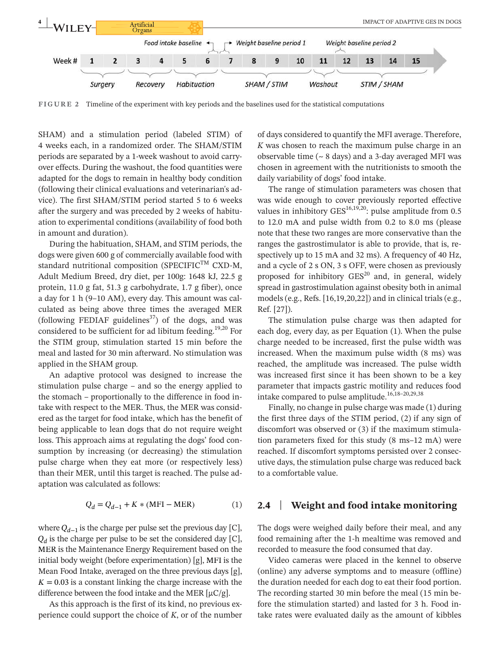

**FIGURE 2** Timeline of the experiment with key periods and the baselines used for the statistical computations

SHAM) and a stimulation period (labeled STIM) of 4 weeks each, in a randomized order. The SHAM/STIM periods are separated by a 1- week washout to avoid carryover effects. During the washout, the food quantities were adapted for the dogs to remain in healthy body condition (following their clinical evaluations and veterinarian's advice). The first SHAM/STIM period started 5 to 6 weeks after the surgery and was preceded by 2 weeks of habituation to experimental conditions (availability of food both in amount and duration).

During the habituation, SHAM, and STIM periods, the dogs were given 600 g of commercially available food with standard nutritional composition ( $SPECTFIC<sup>TM</sup> CXD-M$ , Adult Medium Breed, dry diet, per 100g: 1648 kJ, 22.5 g protein, 11.0 g fat, 51.3 g carbohydrate, 1.7 g fiber), once a day for 1 h (9-10 AM), every day. This amount was calculated as being above three times the averaged MER (following FEDIAF guidelines<sup>37</sup>) of the dogs, and was considered to be sufficient for ad libitum feeding.<sup>19,20</sup> For the STIM group, stimulation started 15 min before the meal and lasted for 30 min afterward. No stimulation was applied in the SHAM group.

An adaptive protocol was designed to increase the stimulation pulse charge – and so the energy applied to the stomach – proportionally to the difference in food intake with respect to the MER. Thus, the MER was considered as the target for food intake, which has the benefit of being applicable to lean dogs that do not require weight loss. This approach aims at regulating the dogs' food consumption by increasing (or decreasing) the stimulation pulse charge when they eat more (or respectively less) than their MER, until this target is reached. The pulse adaptation was calculated as follows:

$$
Q_d = Q_{d-1} + K * (MFI - MER)
$$
 (1)

where *Qd*−<sup>1</sup> is the charge per pulse set the previous day [C],  $Q_d$  is the charge per pulse to be set the considered day [C], MER is the Maintenance Energy Requirement based on the initial body weight (before experimentation) [g], MFI is the Mean Food Intake, averaged on the three previous days [g],  $K = 0.03$  is a constant linking the charge increase with the difference between the food intake and the MER  $[\mu C/g]$ .

As this approach is the first of its kind, no previous experience could support the choice of *K*, or of the number of days considered to quantify the MFI average. Therefore, *K* was chosen to reach the maximum pulse charge in an observable time  $($   $\sim$  8 days) and a 3-day averaged MFI was chosen in agreement with the nutritionists to smooth the daily variability of dogs' food intake.

The range of stimulation parameters was chosen that was wide enough to cover previously reported effective values in inhibitory  $GES^{16,19,20}$ : pulse amplitude from 0.5 to 12.0 mA and pulse width from 0.2 to 8.0 ms (please note that these two ranges are more conservative than the ranges the gastrostimulator is able to provide, that is, respectively up to 15 mA and 32 ms). A frequency of 40 Hz, and a cycle of 2 s ON, 3 s OFF, were chosen as previously proposed for inhibitory  $GES^{20}$  and, in general, widely spread in gastrostimulation against obesity both in animal models (e.g., Refs. [16,19,20,22]) and in clinical trials (e.g., Ref. [27]).

The stimulation pulse charge was then adapted for each dog, every day, as per Equation (1). When the pulse charge needed to be increased, first the pulse width was increased. When the maximum pulse width (8 ms) was reached, the amplitude was increased. The pulse width was increased first since it has been shown to be a key parameter that impacts gastric motility and reduces food intake compared to pulse amplitude.<sup>16,18-20,29,38</sup>

Finally, no change in pulse charge was made (1) during the first three days of the STIM period, (2) if any sign of discomfort was observed or (3) if the maximum stimulation parameters fixed for this study (8 ms–12 mA) were reached. If discomfort symptoms persisted over 2 consecutive days, the stimulation pulse charge was reduced back to a comfortable value.

### **2.4** | **Weight and food intake monitoring**

The dogs were weighed daily before their meal, and any food remaining after the 1-h mealtime was removed and recorded to measure the food consumed that day.

Video cameras were placed in the kennel to observe (online) any adverse symptoms and to measure (offline) the duration needed for each dog to eat their food portion. The recording started 30 min before the meal (15 min before the stimulation started) and lasted for 3 h. Food intake rates were evaluated daily as the amount of kibbles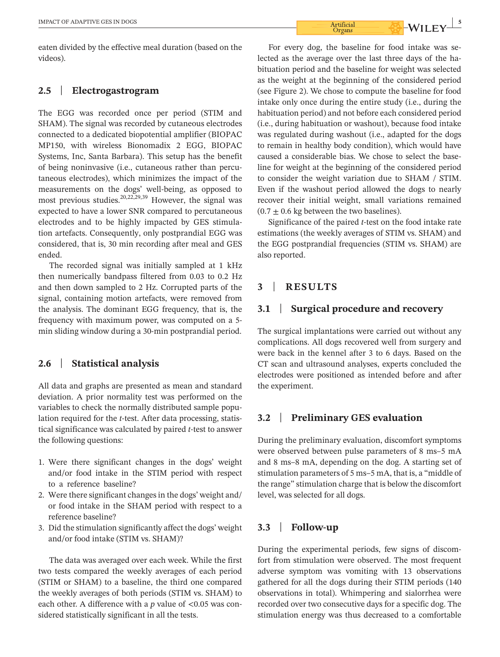eaten divided by the effective meal duration (based on the videos).

#### **2.5** | **Electrogastrogram**

The EGG was recorded once per period (STIM and SHAM). The signal was recorded by cutaneous electrodes connected to a dedicated biopotential amplifier (BIOPAC MP150, with wireless Bionomadix 2 EGG, BIOPAC Systems, Inc, Santa Barbara). This setup has the benefit of being noninvasive (i.e., cutaneous rather than percutaneous electrodes), which minimizes the impact of the measurements on the dogs' well-being, as opposed to most previous studies.  $20,22,29,39$  However, the signal was expected to have a lower SNR compared to percutaneous electrodes and to be highly impacted by GES stimulation artefacts. Consequently, only postprandial EGG was considered, that is, 30 min recording after meal and GES ended.

The recorded signal was initially sampled at 1 kHz then numerically bandpass filtered from 0.03 to 0.2 Hz and then down sampled to 2 Hz. Corrupted parts of the signal, containing motion artefacts, were removed from the analysis. The dominant EGG frequency, that is, the frequency with maximum power, was computed on a 5 min sliding window during a 30-min postprandial period.

#### **2.6** | **Statistical analysis**

All data and graphs are presented as mean and standard deviation. A prior normality test was performed on the variables to check the normally distributed sample population required for the *t*- test. After data processing, statistical significance was calculated by paired *t*- test to answer the following questions:

- 1. Were there significant changes in the dogs' weight and/or food intake in the STIM period with respect to a reference baseline?
- 2. Were there significant changes in the dogs' weight and/ or food intake in the SHAM period with respect to a reference baseline?
- 3. Did the stimulation significantly affect the dogs' weight and/or food intake (STIM vs. SHAM)?

The data was averaged over each week. While the first two tests compared the weekly averages of each period (STIM or SHAM) to a baseline, the third one compared the weekly averages of both periods (STIM vs. SHAM) to each other. A difference with a *p* value of <0.05 was considered statistically significant in all the tests.

For every dog, the baseline for food intake was selected as the average over the last three days of the habituation period and the baseline for weight was selected as the weight at the beginning of the considered period (see Figure 2). We chose to compute the baseline for food intake only once during the entire study (i.e., during the habituation period) and not before each considered period (i.e., during habituation or washout), because food intake was regulated during washout (i.e., adapted for the dogs to remain in healthy body condition), which would have caused a considerable bias. We chose to select the baseline for weight at the beginning of the considered period to consider the weight variation due to SHAM / STIM. Even if the washout period allowed the dogs to nearly recover their initial weight, small variations remained  $(0.7 \pm 0.6 \text{ kg}$  between the two baselines).

Significance of the paired *t*- test on the food intake rate estimations (the weekly averages of STIM vs. SHAM) and the EGG postprandial frequencies (STIM vs. SHAM) are also reported.

### **3** | **RESULTS**

### **3.1** | **Surgical procedure and recovery**

The surgical implantations were carried out without any complications. All dogs recovered well from surgery and were back in the kennel after 3 to 6 days. Based on the CT scan and ultrasound analyses, experts concluded the electrodes were positioned as intended before and after the experiment.

#### **3.2** | **Preliminary GES evaluation**

During the preliminary evaluation, discomfort symptoms were observed between pulse parameters of 8 ms-5 mA and 8 ms–8 mA, depending on the dog. A starting set of stimulation parameters of 5 ms–5 mA, that is, a "middle of the range" stimulation charge that is below the discomfort level, was selected for all dogs.

### **3.3** | **Follow- up**

During the experimental periods, few signs of discomfort from stimulation were observed. The most frequent adverse symptom was vomiting with 13 observations gathered for all the dogs during their STIM periods (140 observations in total). Whimpering and sialorrhea were recorded over two consecutive days for a specific dog. The stimulation energy was thus decreased to a comfortable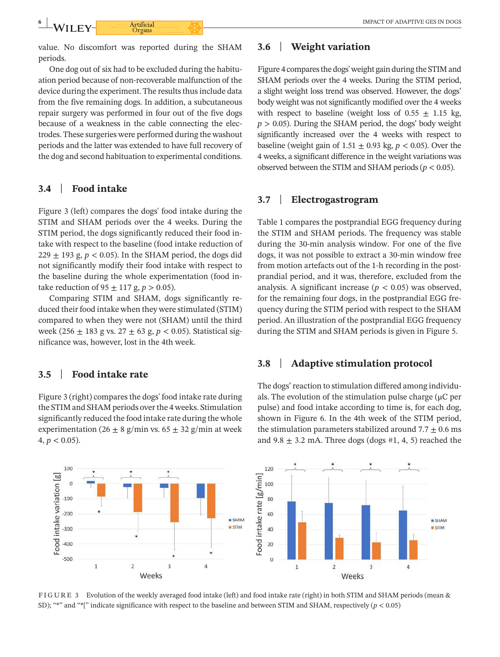value. No discomfort was reported during the SHAM periods.

One dog out of six had to be excluded during the habituation period because of non- recoverable malfunction of the device during the experiment. The results thus include data from the five remaining dogs. In addition, a subcutaneous repair surgery was performed in four out of the five dogs because of a weakness in the cable connecting the electrodes. These surgeries were performed during the washout periods and the latter was extended to have full recovery of the dog and second habituation to experimental conditions.

### **3.4** | **Food intake**

Figure 3 (left) compares the dogs' food intake during the STIM and SHAM periods over the 4 weeks. During the STIM period, the dogs significantly reduced their food intake with respect to the baseline (food intake reduction of  $229 \pm 193$  g,  $p < 0.05$ ). In the SHAM period, the dogs did not significantly modify their food intake with respect to the baseline during the whole experimentation (food intake reduction of  $95 \pm 117$  g,  $p > 0.05$ ).

Comparing STIM and SHAM, dogs significantly reduced their food intake when they were stimulated (STIM) compared to when they were not (SHAM) until the third week (256 ± 183 g vs. 27 ± 63 g, *p* < 0.05). Statistical significance was, however, lost in the 4th week.

## **3.5** | **Food intake rate**

Figure 3 (right) compares the dogs' food intake rate during the STIM and SHAM periods over the 4 weeks. Stimulation significantly reduced the food intake rate during the whole experimentation (26  $\pm$  8 g/min vs. 65  $\pm$  32 g/min at week  $4, p < 0.05$ ).

# **3.6** | **Weight variation**

Figure 4 compares the dogs' weight gain during the STIM and SHAM periods over the 4 weeks. During the STIM period, a slight weight loss trend was observed. However, the dogs' body weight was not significantly modified over the 4 weeks with respect to baseline (weight loss of  $0.55 \pm 1.15$  kg,  $p > 0.05$ ). During the SHAM period, the dogs' body weight significantly increased over the 4 weeks with respect to baseline (weight gain of  $1.51 \pm 0.93$  kg,  $p < 0.05$ ). Over the 4 weeks, a significant difference in the weight variations was observed between the STIM and SHAM periods ( $p < 0.05$ ).

## **3.7** | **Electrogastrogram**

Table 1 compares the postprandial EGG frequency during the STIM and SHAM periods. The frequency was stable during the 30-min analysis window. For one of the five dogs, it was not possible to extract a 30-min window free from motion artefacts out of the 1-h recording in the postprandial period, and it was, therefore, excluded from the analysis. A significant increase ( $p < 0.05$ ) was observed, for the remaining four dogs, in the postprandial EGG frequency during the STIM period with respect to the SHAM period. An illustration of the postprandial EGG frequency during the STIM and SHAM periods is given in Figure 5.

## **3.8** | **Adaptive stimulation protocol**

The dogs' reaction to stimulation differed among individuals. The evolution of the stimulation pulse charge ( $\mu$ C per pulse) and food intake according to time is, for each dog, shown in Figure 6. In the 4th week of the STIM period, the stimulation parameters stabilized around  $7.7 \pm 0.6$  ms and 9.8  $\pm$  3.2 mA. Three dogs (dogs #1, 4, 5) reached the



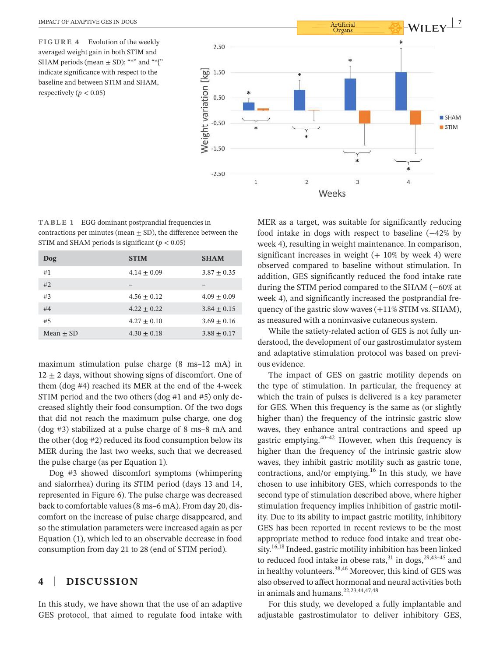**FIGURE 4** Evolution of the weekly averaged weight gain in both STIM and SHAM periods (mean  $\pm$  SD); "\*" and "\*{" indicate significance with respect to the baseline and between STIM and SHAM, respectively ( $p < 0.05$ )



**TABLE 1** EGG dominant postprandial frequencies in contractions per minutes (mean  $\pm$  SD), the difference between the STIM and SHAM periods is significant  $(p < 0.05)$ 

| Dog           | <b>STIM</b>     | <b>SHAM</b>     |
|---------------|-----------------|-----------------|
| #1            | $4.14 \pm 0.09$ | $3.87 \pm 0.35$ |
| #2            |                 |                 |
| #3            | $4.56 + 0.12$   | $4.09 + 0.09$   |
| #4            | $4.22 + 0.22$   | $3.84 + 0.15$   |
| #5            | $4.27 + 0.10$   | $3.69 + 0.16$   |
| Mean $\pm$ SD | $4.30 + 0.18$   | $3.88 \pm 0.17$ |

maximum stimulation pulse charge  $(8 \text{ ms}-12 \text{ mA})$  in  $12 \pm 2$  days, without showing signs of discomfort. One of them (dog #4) reached its MER at the end of the 4- week STIM period and the two others (dog #1 and #5) only decreased slightly their food consumption. Of the two dogs that did not reach the maximum pulse charge, one dog (dog  $#3$ ) stabilized at a pulse charge of 8 ms–8 mA and the other (dog #2) reduced its food consumption below its MER during the last two weeks, such that we decreased the pulse charge (as per Equation 1).

Dog #3 showed discomfort symptoms (whimpering and sialorrhea) during its STIM period (days 13 and 14, represented in Figure 6). The pulse charge was decreased back to comfortable values (8 ms–6 mA). From day 20, discomfort on the increase of pulse charge disappeared, and so the stimulation parameters were increased again as per Equation (1), which led to an observable decrease in food consumption from day 21 to 28 (end of STIM period).

## **4** | **DISCUSSION**

In this study, we have shown that the use of an adaptive GES protocol, that aimed to regulate food intake with

MER as a target, was suitable for significantly reducing food intake in dogs with respect to baseline (−42% by week 4), resulting in weight maintenance. In comparison, significant increases in weight  $(+ 10\%$  by week 4) were observed compared to baseline without stimulation. In addition, GES significantly reduced the food intake rate during the STIM period compared to the SHAM (−60% at week 4), and significantly increased the postprandial frequency of the gastric slow waves  $(+11\% \text{ STIM vs. SHAM})$ , as measured with a noninvasive cutaneous system.

While the satiety-related action of GES is not fully understood, the development of our gastrostimulator system and adaptative stimulation protocol was based on previous evidence.

The impact of GES on gastric motility depends on the type of stimulation. In particular, the frequency at which the train of pulses is delivered is a key parameter for GES. When this frequency is the same as (or slightly higher than) the frequency of the intrinsic gastric slow waves, they enhance antral contractions and speed up gastric emptying.  $40-42$  However, when this frequency is higher than the frequency of the intrinsic gastric slow waves, they inhibit gastric motility such as gastric tone, contractions, and/or emptying.<sup>16</sup> In this study, we have chosen to use inhibitory GES, which corresponds to the second type of stimulation described above, where higher stimulation frequency implies inhibition of gastric motility. Due to its ability to impact gastric motility, inhibitory GES has been reported in recent reviews to be the most appropriate method to reduce food intake and treat obesity.<sup>16,18</sup> Indeed, gastric motility inhibition has been linked to reduced food intake in obese rats,  $31$  in dogs,  $29,43-45$  and in healthy volunteers.<sup>38,46</sup> Moreover, this kind of GES was also observed to affect hormonal and neural activities both in animals and humans.<sup>22,23,44,47,48</sup>

For this study, we developed a fully implantable and adjustable gastrostimulator to deliver inhibitory GES,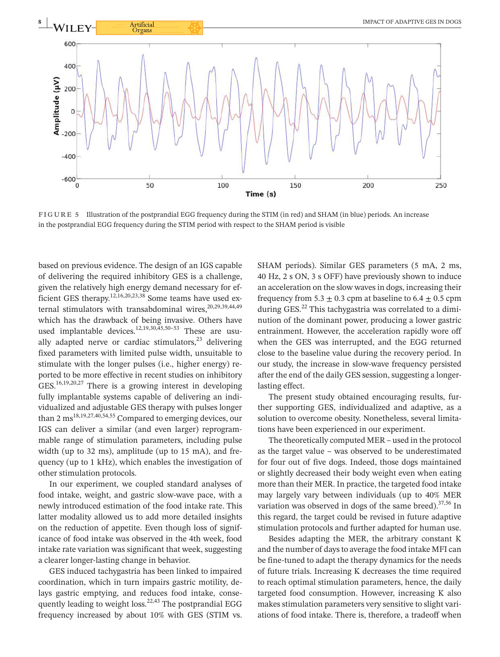

**FIGURE 5** Illustration of the postprandial EGG frequency during the STIM (in red) and SHAM (in blue) periods. An increase in the postprandial EGG frequency during the STIM period with respect to the SHAM period is visible

based on previous evidence. The design of an IGS capable of delivering the required inhibitory GES is a challenge, given the relatively high energy demand necessary for efficient GES therapy.<sup>12,16,20,23,38</sup> Some teams have used external stimulators with transabdominal wires,  $20,29,39,44,49$ which has the drawback of being invasive. Others have used implantable devices.<sup>12,19,30,45,50–53</sup> These are usually adapted nerve or cardiac stimulators, $23$  delivering fixed parameters with limited pulse width, unsuitable to stimulate with the longer pulses (i.e., higher energy) reported to be more effective in recent studies on inhibitory GES.16,19,20,27 There is a growing interest in developing fully implantable systems capable of delivering an individualized and adjustable GES therapy with pulses longer than 2 ms18,19,27,40,54,55 Compared to emerging devices, our IGS can deliver a similar (and even larger) reprogrammable range of stimulation parameters, including pulse width (up to 32 ms), amplitude (up to 15 mA), and frequency (up to 1 kHz), which enables the investigation of other stimulation protocols.

In our experiment, we coupled standard analyses of food intake, weight, and gastric slow-wave pace, with a newly introduced estimation of the food intake rate. This latter modality allowed us to add more detailed insights on the reduction of appetite. Even though loss of significance of food intake was observed in the 4th week, food intake rate variation was significant that week, suggesting a clearer longer-lasting change in behavior.

GES induced tachygastria has been linked to impaired coordination, which in turn impairs gastric motility, delays gastric emptying, and reduces food intake, consequently leading to weight loss.<sup>22,43</sup> The postprandial EGG frequency increased by about 10% with GES (STIM vs.

SHAM periods). Similar GES parameters (5 mA, 2 ms, 40 Hz, 2 s ON, 3 s OFF) have previously shown to induce an acceleration on the slow waves in dogs, increasing their frequency from  $5.3 \pm 0.3$  cpm at baseline to  $6.4 \pm 0.5$  cpm during GES. $^{22}$  This tachygastria was correlated to a diminution of the dominant power, producing a lower gastric entrainment. However, the acceleration rapidly wore off when the GES was interrupted, and the EGG returned close to the baseline value during the recovery period. In our study, the increase in slow-wave frequency persisted after the end of the daily GES session, suggesting a longerlasting effect.

The present study obtained encouraging results, further supporting GES, individualized and adaptive, as a solution to overcome obesity. Nonetheless, several limitations have been experienced in our experiment.

The theoretically computed MER – used in the protocol as the target value – was observed to be underestimated for four out of five dogs. Indeed, those dogs maintained or slightly decreased their body weight even when eating more than their MER. In practice, the targeted food intake may largely vary between individuals (up to 40% MER variation was observed in dogs of the same breed).<sup>37,56</sup> In this regard, the target could be revised in future adaptive stimulation protocols and further adapted for human use.

Besides adapting the MER, the arbitrary constant K and the number of days to average the food intake MFI can be fine- tuned to adapt the therapy dynamics for the needs of future trials. Increasing K decreases the time required to reach optimal stimulation parameters, hence, the daily targeted food consumption. However, increasing K also makes stimulation parameters very sensitive to slight variations of food intake. There is, therefore, a tradeoff when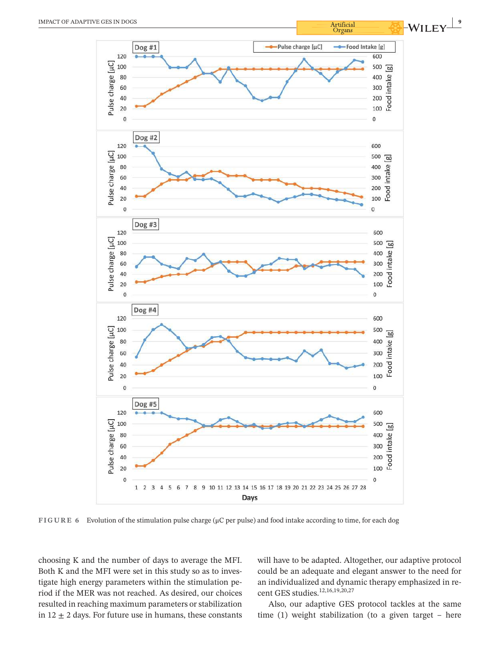

**FIGURE 6** Evolution of the stimulation pulse charge (μC per pulse) and food intake according to time, for each dog

choosing K and the number of days to average the MFI. Both K and the MFI were set in this study so as to investigate high energy parameters within the stimulation period if the MER was not reached. As desired, our choices resulted in reaching maximum parameters or stabilization in  $12 \pm 2$  days. For future use in humans, these constants

will have to be adapted. Altogether, our adaptive protocol could be an adequate and elegant answer to the need for an individualized and dynamic therapy emphasized in recent GES studies.<sup>12,16,19,20,27</sup>

Also, our adaptive GES protocol tackles at the same time (1) weight stabilization (to a given target – here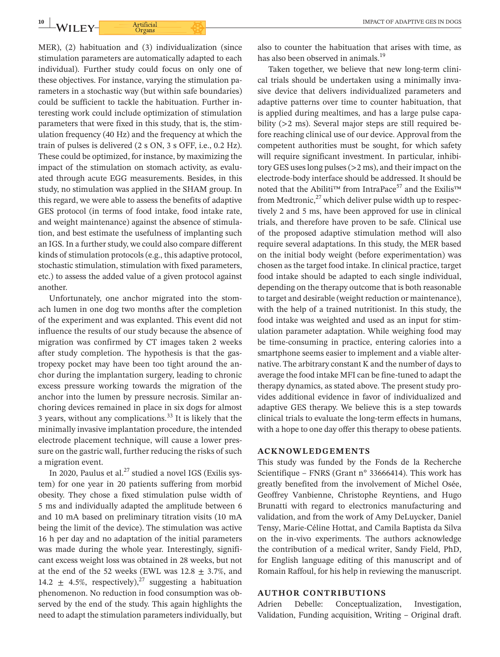MER), (2) habituation and (3) individualization (since stimulation parameters are automatically adapted to each individual). Further study could focus on only one of these objectives. For instance, varying the stimulation parameters in a stochastic way (but within safe boundaries) could be sufficient to tackle the habituation. Further interesting work could include optimization of stimulation parameters that were fixed in this study, that is, the stimulation frequency (40 Hz) and the frequency at which the train of pulses is delivered (2 s ON, 3 s OFF, i.e., 0.2 Hz). These could be optimized, for instance, by maximizing the impact of the stimulation on stomach activity, as evaluated through acute EGG measurements. Besides, in this study, no stimulation was applied in the SHAM group. In this regard, we were able to assess the benefits of adaptive GES protocol (in terms of food intake, food intake rate, and weight maintenance) against the absence of stimulation, and best estimate the usefulness of implanting such an IGS. In a further study, we could also compare different kinds of stimulation protocols (e.g., this adaptive protocol, stochastic stimulation, stimulation with fixed parameters, etc.) to assess the added value of a given protocol against another.

Unfortunately, one anchor migrated into the stomach lumen in one dog two months after the completion of the experiment and was explanted. This event did not influence the results of our study because the absence of migration was confirmed by CT images taken 2 weeks after study completion. The hypothesis is that the gastropexy pocket may have been too tight around the anchor during the implantation surgery, leading to chronic excess pressure working towards the migration of the anchor into the lumen by pressure necrosis. Similar anchoring devices remained in place in six dogs for almost 3 years, without any complications.<sup>33</sup> It is likely that the minimally invasive implantation procedure, the intended electrode placement technique, will cause a lower pressure on the gastric wall, further reducing the risks of such a migration event.

In 2020, Paulus et al.<sup>27</sup> studied a novel IGS (Exilis system) for one year in 20 patients suffering from morbid obesity. They chose a fixed stimulation pulse width of 5 ms and individually adapted the amplitude between 6 and 10 mA based on preliminary titration visits (10 mA being the limit of the device). The stimulation was active 16 h per day and no adaptation of the initial parameters was made during the whole year. Interestingly, significant excess weight loss was obtained in 28 weeks, but not at the end of the 52 weeks (EWL was  $12.8 \pm 3.7\%$ , and 14.2  $\pm$  4.5%, respectively),<sup>27</sup> suggesting a habituation phenomenon. No reduction in food consumption was observed by the end of the study. This again highlights the need to adapt the stimulation parameters individually, but also to counter the habituation that arises with time, as has also been observed in animals.<sup>19</sup>

Taken together, we believe that new long-term clinical trials should be undertaken using a minimally invasive device that delivers individualized parameters and adaptive patterns over time to counter habituation, that is applied during mealtimes, and has a large pulse capability (>2 ms). Several major steps are still required before reaching clinical use of our device. Approval from the competent authorities must be sought, for which safety will require significant investment. In particular, inhibitory GES uses long pulses (>2 ms), and their impact on the electrode- body interface should be addressed. It should be noted that the Abiliti™ from IntraPace<sup>57</sup> and the Exilis™ from Medtronic, $^{27}$  which deliver pulse width up to respectively 2 and 5 ms, have been approved for use in clinical trials, and therefore have proven to be safe. Clinical use of the proposed adaptive stimulation method will also require several adaptations. In this study, the MER based on the initial body weight (before experimentation) was chosen as the target food intake. In clinical practice, target food intake should be adapted to each single individual, depending on the therapy outcome that is both reasonable to target and desirable (weight reduction or maintenance), with the help of a trained nutritionist. In this study, the food intake was weighted and used as an input for stimulation parameter adaptation. While weighing food may be time-consuming in practice, entering calories into a smartphone seems easier to implement and a viable alternative. The arbitrary constant K and the number of days to average the food intake MFI can be fine- tuned to adapt the therapy dynamics, as stated above. The present study provides additional evidence in favor of individualized and adaptive GES therapy. We believe this is a step towards clinical trials to evaluate the long- term effects in humans, with a hope to one day offer this therapy to obese patients.

#### **ACKNOWLEDGEMENTS**

This study was funded by the Fonds de la Recherche Scientifique – FNRS (Grant n° 33666414). This work has greatly benefited from the involvement of Michel Osée, Geoffrey Vanbienne, Christophe Reyntiens, and Hugo Brunatti with regard to electronics manufacturing and validation, and from the work of Amy DeLuycker, Daniel Tensy, Marie- Céline Hottat, and Camila Baptista da Silva on the in-vivo experiments. The authors acknowledge the contribution of a medical writer, Sandy Field, PhD, for English language editing of this manuscript and of Romain Raffoul, for his help in reviewing the manuscript.

#### **AUTHOR CONTRIBUTIONS**

Adrien Debelle: Conceptualization, Investigation, Validation, Funding acquisition, Writing – Original draft.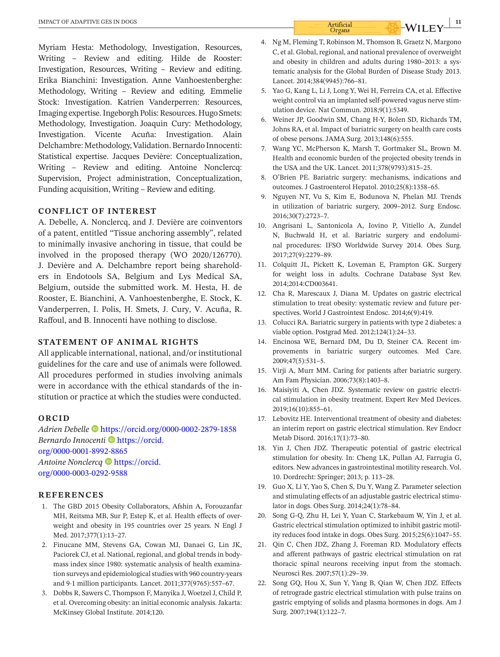Myriam Hesta: Methodology, Investigation, Resources, Writing – Review and editing. Hilde de Rooster: Investigation, Resources, Writing – Review and editing. Erika Bianchini: Investigation. Anne Vanhoestenberghe: Methodology, Writing – Review and editing. Emmelie Stock: Investigation. Katrien Vanderperren: Resources, Imaging expertise. Ingeborgh Polis: Resources. Hugo Smets: Methodology, Investigation. Joaquin Cury: Methodology, Investigation. Vicente Acuña: Investigation. Alain Delchambre: Methodology, Validation. Bernardo Innocenti: Statistical expertise. Jacques Devière: Conceptualization, Writing – Review and editing. Antoine Nonclercq: Supervision, Project administration, Conceptualization, Funding acquisition, Writing – Review and editing.

#### **CONFLICT OF INTEREST**

A. Debelle, A. Nonclercq, and J. Devière are coinventors of a patent, entitled "Tissue anchoring assembly", related to minimally invasive anchoring in tissue, that could be involved in the proposed therapy (WO 2020/126770). J. Devière and A. Delchambre report being shareholders in Endotools SA, Belgium and Lys Medical SA, Belgium, outside the submitted work. M. Hesta, H. de Rooster, E. Bianchini, A. Vanhoestenberghe, E. Stock, K. Vanderperren, I. Polis, H. Smets, J. Cury, V. Acuña, R. Raffoul, and B. Innocenti have nothing to disclose.

#### **STATEMENT OF ANIMAL RIGHTS**

All applicable international, national, and/or institutional guidelines for the care and use of animals were followed. All procedures performed in studies involving animals were in accordance with the ethical standards of the institution or practice at which the studies were conducted.

#### **ORCID**

*Adrien Debelle* <https://orcid.org/0000-0002-2879-1858> *Bernardo Innocenti* **I**nttps://orcid. [org/0000-0001-8992-8865](https://orcid.org/0000-0001-8992-8865) *Antoine Nonclercq* [https://orcid.](https://orcid.org/0000-0003-0292-9588) [org/0000-0003-0292-9588](https://orcid.org/0000-0003-0292-9588)

#### **REFERENCES**

- 1. The GBD 2015 Obesity Collaborators, Afshin A, Forouzanfar MH, Reitsma MB, Sur P, Estep K, et al. Health effects of overweight and obesity in 195 countries over 25 years. N Engl J Med. 2017;377(1):13-27.
- 2. Finucane MM, Stevens GA, Cowan MJ, Danaei G, Lin JK, Paciorek CJ, et al. National, regional, and global trends in bodymass index since 1980: systematic analysis of health examination surveys and epidemiological studies with 960 country- years and 9.1 million participants. Lancet. 2011;377(9765):557-67.
- 3. Dobbs R, Sawers C, Thompson F, Manyika J, Woetzel J, Child P, et al. Overcoming obesity: an initial economic analysis. Jakarta: McKinsey Global Institute. 2014;120.
- 4. Ng M, Fleming T, Robinson M, Thomson B, Graetz N, Margono C, et al. Global, regional, and national prevalence of overweight and obesity in children and adults during 1980–2013: a systematic analysis for the Global Burden of Disease Study 2013. Lancet. 2014:384(9945):766-81.
- 5. Yao G, Kang L, Li J, Long Y, Wei H, Ferreira CA, et al. Effective weight control via an implanted self-powered vagus nerve stimulation device. Nat Commun. 2018;9(1):5349.
- 6. Weiner JP, Goodwin SM, Chang H-Y, Bolen SD, Richards TM, Johns RA, et al. Impact of bariatric surgery on health care costs of obese persons. JAMA Surg. 2013;148(6):555.
- 7. Wang YC, McPherson K, Marsh T, Gortmaker SL, Brown M. Health and economic burden of the projected obesity trends in the USA and the UK. Lancet. 2011;378(9793):815-25.
- 8. O'Brien PE. Bariatric surgery: mechanisms, indications and outcomes. J Gastroenterol Hepatol. 2010;25(8):1358-65.
- 9. Nguyen NT, Vu S, Kim E, Bodunova N, Phelan MJ. Trends in utilization of bariatric surgery, 2009-2012. Surg Endosc. 2016;30(7):2723– 7.
- 10. Angrisani L, Santonicola A, Iovino P, Vitiello A, Zundel N, Buchwald H, et al. Bariatric surgery and endoluminal procedures: IFSO Worldwide Survey 2014. Obes Surg. 2017;27(9):2279– 89.
- 11. Colquitt JL, Pickett K, Loveman E, Frampton GK. Surgery for weight loss in adults. Cochrane Database Syst Rev. 2014;2014:CD003641.
- 12. Cha R, Marescaux J, Diana M. Updates on gastric electrical stimulation to treat obesity: systematic review and future perspectives. World J Gastrointest Endosc. 2014;6(9):419.
- 13. Colucci RA. Bariatric surgery in patients with type 2 diabetes: a viable option. Postgrad Med. 2012;124(1):24-33.
- 14. Encinosa WE, Bernard DM, Du D, Steiner CA. Recent improvements in bariatric surgery outcomes. Med Care. 2009;47(5):531– 5.
- 15. Virji A, Murr MM. Caring for patients after bariatric surgery. Am Fam Physician. 2006;73(8):1403-8.
- 16. Maisiyiti A, Chen JDZ. Systematic review on gastric electrical stimulation in obesity treatment. Expert Rev Med Devices. 2019;16(10):855– 61.
- 17. Lebovitz HE. Interventional treatment of obesity and diabetes: an interim report on gastric electrical stimulation. Rev Endocr Metab Disord. 2016;17(1):73-80.
- 18. Yin J, Chen JDZ. Therapeutic potential of gastric electrical stimulation for obesity. In: Cheng LK, Pullan AJ, Farrugia G, editors. New advances in gastrointestinal motility research. Vol. 10. Dordrecht: Springer; 2013; p. 113– 28.
- 19. Guo X, Li Y, Yao S, Chen S, Du Y, Wang Z. Parameter selection and stimulating effects of an adjustable gastric electrical stimulator in dogs. Obes Surg. 2014;24(1):78-84.
- 20. Song G-Q, Zhu H, Lei Y, Yuan C, Starkebaum W, Yin J, et al. Gastric electrical stimulation optimized to inhibit gastric motility reduces food intake in dogs. Obes Surg. 2015;25(6):1047-55.
- 21. Qin C, Chen JDZ, Zhang J, Foreman RD. Modulatory effects and afferent pathways of gastric electrical stimulation on rat thoracic spinal neurons receiving input from the stomach. Neurosci Res. 2007;57(1):29-39.
- 22. Song GQ, Hou X, Sun Y, Yang B, Qian W, Chen JDZ. Effects of retrograde gastric electrical stimulation with pulse trains on gastric emptying of solids and plasma hormones in dogs. Am J Surg. 2007;194(1):122-7.

 **<sup>|</sup>**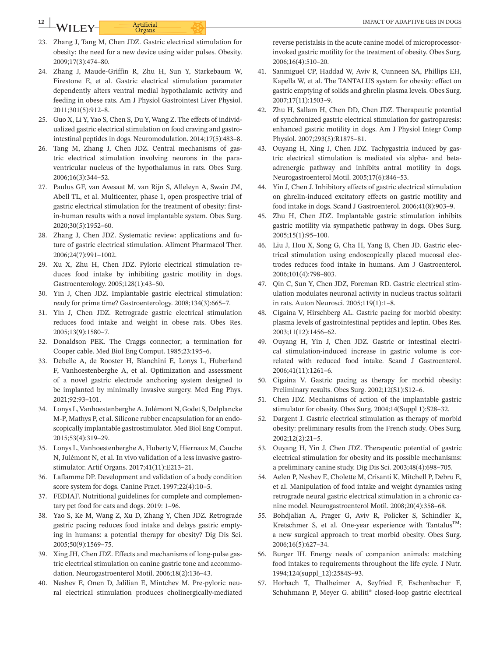# **12 WILEY-** Artificial Artificial ACCORD MELEY- THE COMBINE OF ADAPTIVE GES IN DOGS

- 23. Zhang J, Tang M, Chen JDZ. Gastric electrical stimulation for obesity: the need for a new device using wider pulses. Obesity. 2009;17(3):474– 80.
- 24. Zhang J, Maude- Griffin R, Zhu H, Sun Y, Starkebaum W, Firestone E, et al. Gastric electrical stimulation parameter dependently alters ventral medial hypothalamic activity and feeding in obese rats. Am J Physiol Gastrointest Liver Physiol. 2011;301(5):912– 8.
- 25. Guo X, Li Y, Yao S, Chen S, Du Y, Wang Z. The effects of individualized gastric electrical stimulation on food craving and gastrointestinal peptides in dogs. Neuromodulation. 2014;17(5):483– 8.
- 26. Tang M, Zhang J, Chen JDZ. Central mechanisms of gastric electrical stimulation involving neurons in the paraventricular nucleus of the hypothalamus in rats. Obes Surg. 2006;16(3):344– 52.
- 27. Paulus GF, van Avesaat M, van Rijn S, Alleleyn A, Swain JM, Abell TL, et al. Multicenter, phase 1, open prospective trial of gastric electrical stimulation for the treatment of obesity: firstin- human results with a novel implantable system. Obes Surg. 2020;30(5):1952– 60.
- 28. Zhang J, Chen JDZ. Systematic review: applications and future of gastric electrical stimulation. Aliment Pharmacol Ther. 2006;24(7):991– 1002.
- 29. Xu X, Zhu H, Chen JDZ. Pyloric electrical stimulation reduces food intake by inhibiting gastric motility in dogs. Gastroenterology. 2005;128(1):43– 50.
- 30. Yin J, Chen JDZ. Implantable gastric electrical stimulation: ready for prime time? Gastroenterology. 2008;134(3):665-7.
- 31. Yin J, Chen JDZ. Retrograde gastric electrical stimulation reduces food intake and weight in obese rats. Obes Res. 2005;13(9):1580– 7.
- 32. Donaldson PEK. The Craggs connector; a termination for Cooper cable. Med Biol Eng Comput. 1985;23:195-6.
- 33. Debelle A, de Rooster H, Bianchini E, Lonys L, Huberland F, Vanhoestenberghe A, et al. Optimization and assessment of a novel gastric electrode anchoring system designed to be implanted by minimally invasive surgery. Med Eng Phys. 2021;92:93– 101.
- 34. Lonys L, Vanhoestenberghe A, Julémont N, Godet S, Delplancke M- P, Mathys P, et al. Silicone rubber encapsulation for an endoscopically implantable gastrostimulator. Med Biol Eng Comput. 2015;53(4):319– 29.
- 35. Lonys L, Vanhoestenberghe A, Huberty V, Hiernaux M, Cauche N, Julémont N, et al. In vivo validation of a less invasive gastrostimulator. Artif Organs. 2017;41(11):E213-21.
- 36. Laflamme DP. Development and validation of a body condition score system for dogs. Canine Pract. 1997;22(4):10-5.
- 37. FEDIAF. Nutritional guidelines for complete and complementary pet food for cats and dogs. 2019: 1-96.
- 38. Yao S, Ke M, Wang Z, Xu D, Zhang Y, Chen JDZ. Retrograde gastric pacing reduces food intake and delays gastric emptying in humans: a potential therapy for obesity? Dig Dis Sci. 2005;50(9):1569– 75.
- 39. Xing JH, Chen JDZ. Effects and mechanisms of long-pulse gastric electrical stimulation on canine gastric tone and accommodation. Neurogastroenterol Motil. 2006;18(2):136-43.
- 40. Neshev E, Onen D, Jalilian E, Mintchev M. Pre-pyloric neural electrical stimulation produces cholinergically-mediated

reverse peristalsis in the acute canine model of microprocessorinvoked gastric motility for the treatment of obesity. Obes Surg. 2006;16(4):510– 20.

- 41. Sanmiguel CP, Haddad W, Aviv R, Cunneen SA, Phillips EH, Kapella W, et al. The TANTALUS system for obesity: effect on gastric emptying of solids and ghrelin plasma levels. Obes Surg. 2007;17(11):1503– 9.
- 42. Zhu H, Sallam H, Chen DD, Chen JDZ. Therapeutic potential of synchronized gastric electrical stimulation for gastroparesis: enhanced gastric motility in dogs. Am J Physiol Integr Comp Physiol. 2007;293(5):R1875-81.
- 43. Ouyang H, Xing J, Chen JDZ. Tachygastria induced by gastric electrical stimulation is mediated via alpha- and betaadrenergic pathway and inhibits antral motility in dogs. Neurogastroenterol Motil. 2005;17(6):846-53.
- 44. Yin J, Chen J. Inhibitory effects of gastric electrical stimulation on ghrelin- induced excitatory effects on gastric motility and food intake in dogs. Scand J Gastroenterol. 2006;41(8):903-9.
- 45. Zhu H, Chen JDZ. Implantable gastric stimulation inhibits gastric motility via sympathetic pathway in dogs. Obes Surg. 2005;15(1):95– 100.
- 46. Liu J, Hou X, Song G, Cha H, Yang B, Chen JD. Gastric electrical stimulation using endoscopically placed mucosal electrodes reduces food intake in humans. Am J Gastroenterol. 2006;101(4):798– 803.
- 47. Qin C, Sun Y, Chen JDZ, Foreman RD. Gastric electrical stimulation modulates neuronal activity in nucleus tractus solitarii in rats. Auton Neurosci. 2005;119(1):1-8.
- 48. Cigaina V, Hirschberg AL. Gastric pacing for morbid obesity: plasma levels of gastrointestinal peptides and leptin. Obes Res. 2003;11(12):1456– 62.
- 49. Ouyang H, Yin J, Chen JDZ. Gastric or intestinal electrical stimulation- induced increase in gastric volume is correlated with reduced food intake. Scand J Gastroenterol. 2006;41(11):1261-6.
- 50. Cigaina V. Gastric pacing as therapy for morbid obesity: Preliminary results. Obes Surg. 2002;12(S1):S12-6.
- 51. Chen JDZ. Mechanisms of action of the implantable gastric stimulator for obesity. Obes Surg. 2004;14(Suppl 1):S28-32.
- 52. Dargent J. Gastric electrical stimulation as therapy of morbid obesity: preliminary results from the French study. Obes Surg.  $2002;12(2):21-5.$
- 53. Ouyang H, Yin J, Chen JDZ. Therapeutic potential of gastric electrical stimulation for obesity and its possible mechanisms: a preliminary canine study. Dig Dis Sci. 2003;48(4):698-705.
- 54. Aelen P, Neshev E, Cholette M, Crisanti K, Mitchell P, Debru E, et al. Manipulation of food intake and weight dynamics using retrograde neural gastric electrical stimulation in a chronic canine model. Neurogastroenterol Motil. 2008;20(4):358-68.
- 55. Bohdjalian A, Prager G, Aviv R, Policker S, Schindler K, Kretschmer S, et al. One-year experience with Tantalus<sup>TM</sup>: a new surgical approach to treat morbid obesity. Obes Surg. 2006;16(5):627– 34.
- 56. Burger IH. Energy needs of companion animals: matching food intakes to requirements throughout the life cycle. J Nutr. 1994;124(suppl\_12):2584S-93.
- 57. Horbach T, Thalheimer A, Seyfried F, Eschenbacher F, Schuhmann P, Meyer G. abiliti® closed-loop gastric electrical